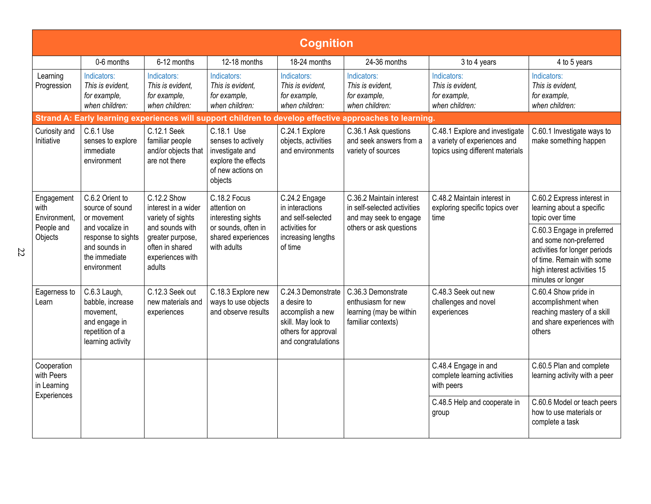| <b>Cognition</b>                                            |                                                                                                                                             |                                                                                                                                                 |                                                                                                                |                                                                                                                           |                                                                                                              |                                                                                                    |                                                                                                                                                                                                                                                      |  |  |
|-------------------------------------------------------------|---------------------------------------------------------------------------------------------------------------------------------------------|-------------------------------------------------------------------------------------------------------------------------------------------------|----------------------------------------------------------------------------------------------------------------|---------------------------------------------------------------------------------------------------------------------------|--------------------------------------------------------------------------------------------------------------|----------------------------------------------------------------------------------------------------|------------------------------------------------------------------------------------------------------------------------------------------------------------------------------------------------------------------------------------------------------|--|--|
|                                                             | 0-6 months                                                                                                                                  | 6-12 months                                                                                                                                     | 12-18 months                                                                                                   | 18-24 months                                                                                                              | 24-36 months                                                                                                 | 3 to 4 years                                                                                       | 4 to 5 years                                                                                                                                                                                                                                         |  |  |
| Learning<br>Progression                                     | Indicators:<br>This is evident,<br>for example,<br>when children:                                                                           | Indicators:<br>This is evident,<br>for example,<br>when children:                                                                               | Indicators:<br>This is evident,<br>for example,<br>when children:                                              | Indicators:<br>This is evident,<br>for example,<br>when children:                                                         | Indicators:<br>This is evident,<br>for example,<br>when children:                                            | Indicators:<br>This is evident,<br>for example,<br>when children:                                  | Indicators:<br>This is evident,<br>for example,<br>when children:                                                                                                                                                                                    |  |  |
|                                                             |                                                                                                                                             |                                                                                                                                                 |                                                                                                                |                                                                                                                           | Strand A: Early learning experiences will support children to develop effective approaches to learning.      |                                                                                                    |                                                                                                                                                                                                                                                      |  |  |
| Curiosity and<br>Initiative                                 | C.6.1 Use<br>senses to explore<br>immediate<br>environment                                                                                  | C.12.1 Seek<br>familiar people<br>and/or objects that<br>are not there                                                                          | C.18.1 Use<br>senses to actively<br>investigate and<br>explore the effects<br>of new actions on<br>objects     | C.24.1 Explore<br>objects, activities<br>and environments                                                                 | C.36.1 Ask questions<br>and seek answers from a<br>variety of sources                                        | C.48.1 Explore and investigate<br>a variety of experiences and<br>topics using different materials | C.60.1 Investigate ways to<br>make something happen                                                                                                                                                                                                  |  |  |
| Engagement<br>with<br>Environment,<br>People and<br>Objects | C.6.2 Orient to<br>source of sound<br>or movement<br>and vocalize in<br>response to sights<br>and sounds in<br>the immediate<br>environment | C.12.2 Show<br>interest in a wider<br>variety of sights<br>and sounds with<br>greater purpose,<br>often in shared<br>experiences with<br>adults | C.18.2 Focus<br>attention on<br>interesting sights<br>or sounds, often in<br>shared experiences<br>with adults | C.24.2 Engage<br>in interactions<br>and self-selected<br>activities for<br>increasing lengths<br>of time                  | C.36.2 Maintain interest<br>in self-selected activities<br>and may seek to engage<br>others or ask questions | C.48.2 Maintain interest in<br>exploring specific topics over<br>time                              | C.60.2 Express interest in<br>learning about a specific<br>topic over time<br>C.60.3 Engage in preferred<br>and some non-preferred<br>activities for longer periods<br>of time. Remain with some<br>high interest activities 15<br>minutes or longer |  |  |
| Eagerness to<br>Learn                                       | C.6.3 Laugh,<br>babble, increase<br>movement.<br>and engage in<br>repetition of a<br>learning activity                                      | C.12.3 Seek out<br>new materials and<br>experiences                                                                                             | C.18.3 Explore new<br>ways to use objects<br>and observe results                                               | C.24.3 Demonstrate<br>a desire to<br>accomplish a new<br>skill. May look to<br>others for approval<br>and congratulations | C.36.3 Demonstrate<br>enthusiasm for new<br>learning (may be within<br>familiar contexts)                    | C.48.3 Seek out new<br>challenges and novel<br>experiences                                         | C.60.4 Show pride in<br>accomplishment when<br>reaching mastery of a skill<br>and share experiences with<br>others                                                                                                                                   |  |  |
| Cooperation<br>with Peers<br>in Learning<br>Experiences     |                                                                                                                                             |                                                                                                                                                 |                                                                                                                |                                                                                                                           |                                                                                                              | C.48.4 Engage in and<br>complete learning activities<br>with peers                                 | C.60.5 Plan and complete<br>learning activity with a peer                                                                                                                                                                                            |  |  |
|                                                             |                                                                                                                                             |                                                                                                                                                 |                                                                                                                |                                                                                                                           |                                                                                                              | C.48.5 Help and cooperate in<br>group                                                              | C.60.6 Model or teach peers<br>how to use materials or<br>complete a task                                                                                                                                                                            |  |  |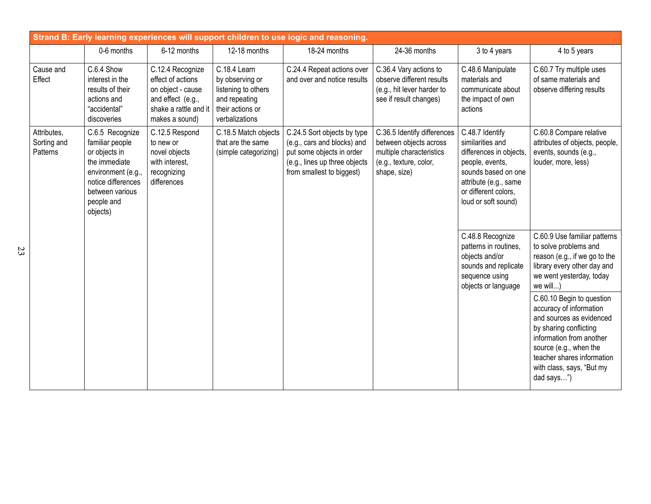| Strand B: Early learning experiences will support children to use logic and reasoning. |                                                                                                                                                               |                                                                                                                            |                                                                                                               |                                                                                                                                                       |                                                                                                                             |                                                                                                                                                                                  |                                                                                                                                                                                                                                           |  |  |
|----------------------------------------------------------------------------------------|---------------------------------------------------------------------------------------------------------------------------------------------------------------|----------------------------------------------------------------------------------------------------------------------------|---------------------------------------------------------------------------------------------------------------|-------------------------------------------------------------------------------------------------------------------------------------------------------|-----------------------------------------------------------------------------------------------------------------------------|----------------------------------------------------------------------------------------------------------------------------------------------------------------------------------|-------------------------------------------------------------------------------------------------------------------------------------------------------------------------------------------------------------------------------------------|--|--|
|                                                                                        | 0-6 months                                                                                                                                                    | 6-12 months                                                                                                                | 12-18 months                                                                                                  | 18-24 months                                                                                                                                          | 24-36 months                                                                                                                | 3 to 4 years                                                                                                                                                                     | 4 to 5 years                                                                                                                                                                                                                              |  |  |
| Cause and<br>Effect                                                                    | C.6.4 Show<br>interest in the<br>results of their<br>actions and<br>"accidental"<br>discoveries                                                               | C.12.4 Recognize<br>effect of actions<br>on object - cause<br>and effect (e.g.,<br>shake a rattle and it<br>makes a sound) | C.18.4 Learn<br>by observing or<br>listening to others<br>and repeating<br>their actions or<br>verbalizations | C.24.4 Repeat actions over<br>and over and notice results                                                                                             | C.36.4 Vary actions to<br>observe different results<br>(e.g., hit lever harder to<br>see if result changes)                 | C.48.6 Manipulate<br>materials and<br>communicate about<br>the impact of own<br>actions                                                                                          | C.60.7 Try multiple uses<br>of same materials and<br>observe differing results                                                                                                                                                            |  |  |
| Attributes,<br>Sorting and<br>Patterns                                                 | C.6.5 Recognize<br>familiar people<br>or objects in<br>the immediate<br>environment (e.g.,<br>notice differences<br>between various<br>people and<br>objects) | C.12.5 Respond<br>to new or<br>novel objects<br>with interest,<br>recognizing<br>differences                               | C.18.5 Match objects<br>that are the same<br>(simple categorizing)                                            | C.24.5 Sort objects by type<br>(e.g., cars and blocks) and<br>put some objects in order<br>(e.g., lines up three objects<br>from smallest to biggest) | C.36.5 Identify differences<br>between objects across<br>multiple characteristics<br>(e.g., texture, color,<br>shape, size) | C.48.7 Identify<br>similarities and<br>differences in objects,<br>people, events,<br>sounds based on one<br>attribute (e.g., same<br>or different colors,<br>loud or soft sound) | C.60.8 Compare relative<br>attributes of objects, people,<br>events, sounds (e.g.,<br>louder, more, less)                                                                                                                                 |  |  |
|                                                                                        |                                                                                                                                                               |                                                                                                                            |                                                                                                               |                                                                                                                                                       |                                                                                                                             | C.48.8 Recognize<br>patterns in routines,<br>objects and/or<br>sounds and replicate<br>sequence using<br>objects or language                                                     | C.60.9 Use familiar patterns<br>to solve problems and<br>reason (e.g., if we go to the<br>library every other day and<br>we went yesterday, today<br>we will)                                                                             |  |  |
|                                                                                        |                                                                                                                                                               |                                                                                                                            |                                                                                                               |                                                                                                                                                       |                                                                                                                             |                                                                                                                                                                                  | C.60.10 Begin to question<br>accuracy of information<br>and sources as evidenced<br>by sharing conflicting<br>information from another<br>source (e.g., when the<br>teacher shares information<br>with class, says, "But my<br>dad says") |  |  |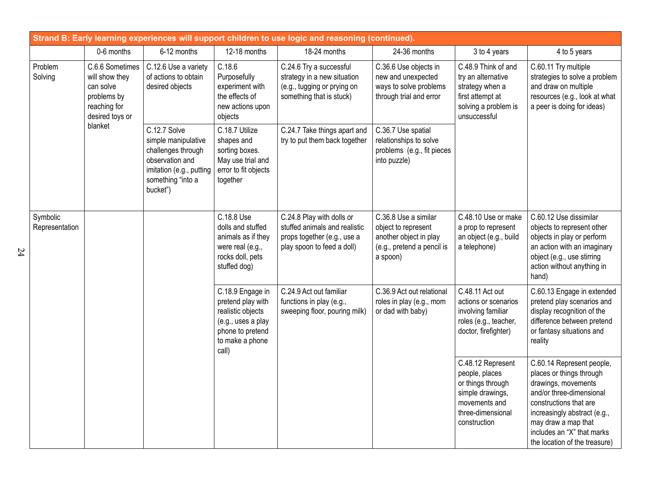| Strand B: Early learning experiences will support children to use logic and reasoning (continued). |                                                                                                             |                                                                                                                                           |                                                                                                                                  |                                                                                                                         |                                                                                                                 |                                                                                                                                    |                                                                                                                                                                                                                                                          |  |  |
|----------------------------------------------------------------------------------------------------|-------------------------------------------------------------------------------------------------------------|-------------------------------------------------------------------------------------------------------------------------------------------|----------------------------------------------------------------------------------------------------------------------------------|-------------------------------------------------------------------------------------------------------------------------|-----------------------------------------------------------------------------------------------------------------|------------------------------------------------------------------------------------------------------------------------------------|----------------------------------------------------------------------------------------------------------------------------------------------------------------------------------------------------------------------------------------------------------|--|--|
|                                                                                                    | 0-6 months                                                                                                  | 6-12 months                                                                                                                               | 12-18 months                                                                                                                     | 18-24 months                                                                                                            | 24-36 months                                                                                                    | 3 to 4 years                                                                                                                       | 4 to 5 years                                                                                                                                                                                                                                             |  |  |
| Problem<br>Solving                                                                                 | C.6.6 Sometimes<br>will show they<br>can solve<br>problems by<br>reaching for<br>desired toys or<br>blanket | C.12.6 Use a variety<br>of actions to obtain<br>desired objects                                                                           | C.18.6<br>Purposefully<br>experiment with<br>the effects of<br>new actions upon<br>objects                                       | C.24.6 Try a successful<br>strategy in a new situation<br>(e.g., tugging or prying on<br>something that is stuck)       | C.36.6 Use objects in<br>new and unexpected<br>ways to solve problems<br>through trial and error                | C.48.9 Think of and<br>try an alternative<br>strategy when a<br>first attempt at<br>solving a problem is<br>unsuccessful           | C.60.11 Try multiple<br>strategies to solve a problem<br>and draw on multiple<br>resources (e.g., look at what<br>a peer is doing for ideas)                                                                                                             |  |  |
|                                                                                                    |                                                                                                             | C.12.7 Solve<br>simple manipulative<br>challenges through<br>observation and<br>imitation (e.g., putting<br>something "into a<br>bucket") | C.18.7 Utilize<br>shapes and<br>sorting boxes.<br>May use trial and<br>error to fit objects<br>together                          | C.24.7 Take things apart and<br>try to put them back together                                                           | C.36.7 Use spatial<br>relationships to solve<br>problems (e.g., fit pieces<br>into puzzle)                      |                                                                                                                                    |                                                                                                                                                                                                                                                          |  |  |
| Symbolic<br>Representation                                                                         |                                                                                                             |                                                                                                                                           | C.18.8 Use<br>dolls and stuffed<br>animals as if they<br>were real (e.g.,<br>rocks doll, pets<br>stuffed dog)                    | C.24.8 Play with dolls or<br>stuffed animals and realistic<br>props together (e.g., use a<br>play spoon to feed a doll) | C.36.8 Use a similar<br>object to represent<br>another object in play<br>(e.g., pretend a pencil is<br>a spoon) | C.48.10 Use or make<br>a prop to represent<br>an object (e.g., build<br>a telephone)                                               | C.60.12 Use dissimilar<br>objects to represent other<br>objects in play or perform<br>an action with an imaginary<br>object (e.g., use stirring<br>action without anything in<br>hand)                                                                   |  |  |
|                                                                                                    |                                                                                                             |                                                                                                                                           | C.18.9 Engage in<br>pretend play with<br>realistic objects<br>(e.g., uses a play<br>phone to pretend<br>to make a phone<br>call) | C.24.9 Act out familiar<br>functions in play (e.g.,<br>sweeping floor, pouring milk)                                    | C.36.9 Act out relational<br>roles in play (e.g., mom<br>or dad with baby)                                      | C.48.11 Act out<br>actions or scenarios<br>involving familiar<br>roles (e.g., teacher,<br>doctor, firefighter)                     | C.60.13 Engage in extended<br>pretend play scenarios and<br>display recognition of the<br>difference between pretend<br>or fantasy situations and<br>reality                                                                                             |  |  |
|                                                                                                    |                                                                                                             |                                                                                                                                           |                                                                                                                                  |                                                                                                                         |                                                                                                                 | C.48.12 Represent<br>people, places<br>or things through<br>simple drawings,<br>movements and<br>three-dimensional<br>construction | C.60.14 Represent people,<br>places or things through<br>drawings, movements<br>and/or three-dimensional<br>constructions that are<br>increasingly abstract (e.g.,<br>may draw a map that<br>includes an "X" that marks<br>the location of the treasure) |  |  |

24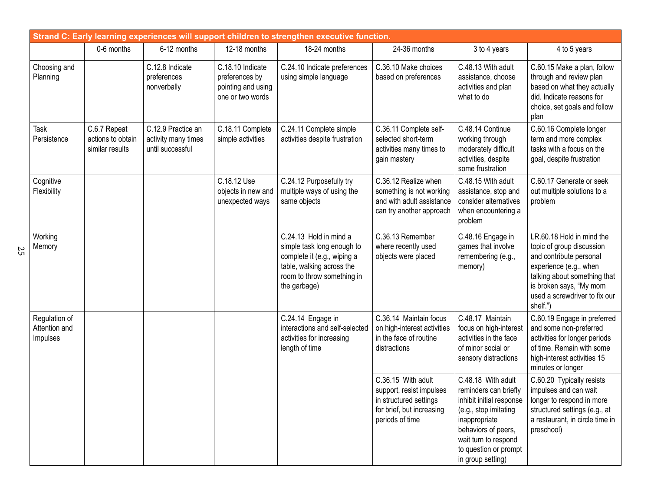| Strand C: Early learning experiences will support children to strengthen executive function. |                                                      |                                                               |                                                                              |                                                                                                                                                                |                                                                                                                          |                                                                                                                                                                                                                |                                                                                                                                                                                                                     |  |
|----------------------------------------------------------------------------------------------|------------------------------------------------------|---------------------------------------------------------------|------------------------------------------------------------------------------|----------------------------------------------------------------------------------------------------------------------------------------------------------------|--------------------------------------------------------------------------------------------------------------------------|----------------------------------------------------------------------------------------------------------------------------------------------------------------------------------------------------------------|---------------------------------------------------------------------------------------------------------------------------------------------------------------------------------------------------------------------|--|
|                                                                                              | 0-6 months                                           | 6-12 months                                                   | 12-18 months                                                                 | 18-24 months                                                                                                                                                   | 24-36 months                                                                                                             | 3 to 4 years                                                                                                                                                                                                   | 4 to 5 years                                                                                                                                                                                                        |  |
| Choosing and<br>Planning                                                                     |                                                      | C.12.8 Indicate<br>preferences<br>nonverbally                 | C.18.10 Indicate<br>preferences by<br>pointing and using<br>one or two words | C.24.10 Indicate preferences<br>using simple language                                                                                                          | C.36.10 Make choices<br>based on preferences                                                                             | C.48.13 With adult<br>assistance, choose<br>activities and plan<br>what to do                                                                                                                                  | C.60.15 Make a plan, follow<br>through and review plan<br>based on what they actually<br>did. Indicate reasons for<br>choice, set goals and follow<br>plan                                                          |  |
| Task<br>Persistence                                                                          | C.6.7 Repeat<br>actions to obtain<br>similar results | C.12.9 Practice an<br>activity many times<br>until successful | C.18.11 Complete<br>simple activities                                        | C.24.11 Complete simple<br>activities despite frustration                                                                                                      | C.36.11 Complete self-<br>selected short-term<br>activities many times to<br>gain mastery                                | C.48.14 Continue<br>working through<br>moderately difficult<br>activities, despite<br>some frustration                                                                                                         | C.60.16 Complete longer<br>term and more complex<br>tasks with a focus on the<br>goal, despite frustration                                                                                                          |  |
| Cognitive<br>Flexibility                                                                     |                                                      |                                                               | C.18.12 Use<br>objects in new and<br>unexpected ways                         | C.24.12 Purposefully try<br>multiple ways of using the<br>same objects                                                                                         | C.36.12 Realize when<br>something is not working<br>and with adult assistance<br>can try another approach                | C.48.15 With adult<br>assistance, stop and<br>consider alternatives<br>when encountering a<br>problem                                                                                                          | C.60.17 Generate or seek<br>out multiple solutions to a<br>problem                                                                                                                                                  |  |
| Working<br>Memory                                                                            |                                                      |                                                               |                                                                              | C.24.13 Hold in mind a<br>simple task long enough to<br>complete it (e.g., wiping a<br>table, walking across the<br>room to throw something in<br>the garbage) | C.36.13 Remember<br>where recently used<br>objects were placed                                                           | C.48.16 Engage in<br>games that involve<br>remembering (e.g.,<br>memory)                                                                                                                                       | LR.60.18 Hold in mind the<br>topic of group discussion<br>and contribute personal<br>experience (e.g., when<br>talking about something that<br>is broken says, "My mom<br>used a screwdriver to fix our<br>shelf.") |  |
| Regulation of<br>Attention and<br>Impulses                                                   |                                                      |                                                               |                                                                              | C.24.14 Engage in<br>interactions and self-selected<br>activities for increasing<br>length of time                                                             | C.36.14 Maintain focus<br>on high-interest activities<br>in the face of routine<br>distractions                          | C.48.17 Maintain<br>focus on high-interest<br>activities in the face<br>of minor social or<br>sensory distractions                                                                                             | C.60.19 Engage in preferred<br>and some non-preferred<br>activities for longer periods<br>of time. Remain with some<br>high-interest activities 15<br>minutes or longer                                             |  |
|                                                                                              |                                                      |                                                               |                                                                              |                                                                                                                                                                | C.36.15 With adult<br>support, resist impulses<br>in structured settings<br>for brief, but increasing<br>periods of time | C.48.18 With adult<br>reminders can briefly<br>inhibit initial response<br>(e.g., stop imitating<br>inappropriate<br>behaviors of peers,<br>wait turn to respond<br>to question or prompt<br>in group setting) | C.60.20 Typically resists<br>impulses and can wait<br>longer to respond in more<br>structured settings (e.g., at<br>a restaurant, in circle time in<br>preschool)                                                   |  |

25